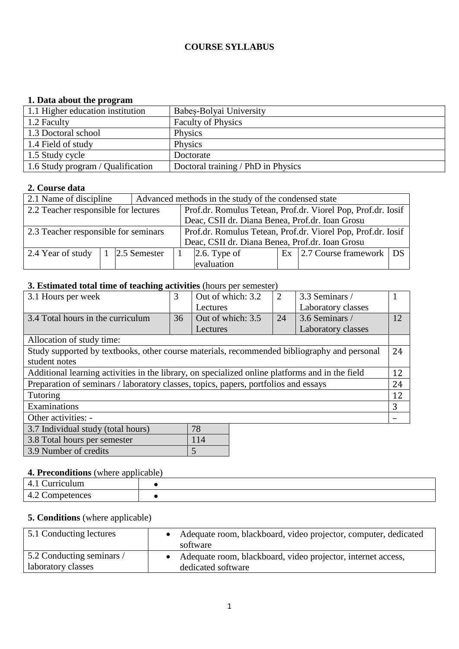### **COURSE SYLLABUS**

### **1. Data about the program**

| 1.1 Higher education institution  | Babes-Bolyai University            |
|-----------------------------------|------------------------------------|
| $1.2$ Faculty                     | <b>Faculty of Physics</b>          |
| 1.3 Doctoral school               | Physics                            |
| 1.4 Field of study                | Physics                            |
| 1.5 Study cycle                   | Doctorate                          |
| 1.6 Study program / Qualification | Doctoral training / PhD in Physics |

### **2. Course data**

| 2.1 Name of discipline                                                                               |                                                 |                | Advanced methods in the study of the condensed state |                                                              |  |                                     |  |  |
|------------------------------------------------------------------------------------------------------|-------------------------------------------------|----------------|------------------------------------------------------|--------------------------------------------------------------|--|-------------------------------------|--|--|
| 2.2 Teacher responsible for lectures                                                                 |                                                 |                |                                                      | Prof.dr. Romulus Tetean, Prof.dr. Viorel Pop, Prof.dr. Iosif |  |                                     |  |  |
|                                                                                                      | Deac, CSII dr. Diana Benea, Prof.dr. Ioan Grosu |                |                                                      |                                                              |  |                                     |  |  |
| 2.3 Teacher responsible for seminars<br>Prof.dr. Romulus Tetean, Prof.dr. Viorel Pop, Prof.dr. Iosif |                                                 |                |                                                      |                                                              |  |                                     |  |  |
| Deac, CSII dr. Diana Benea, Prof.dr. Ioan Grosu                                                      |                                                 |                |                                                      |                                                              |  |                                     |  |  |
| 2.4 Year of study                                                                                    |                                                 | 1 2.5 Semester |                                                      | $\vert$ 2.6. Type of                                         |  | $\text{Ex}$ 2.7 Course framework DS |  |  |
|                                                                                                      | evaluation                                      |                |                                                      |                                                              |  |                                     |  |  |

## **3. Estimated total time of teaching activities** (hours per semester)

| 3.1 Hours per week                                                                              | 3  | Out of which: 3.2 | 2  | 3.3 Seminars /     |    |
|-------------------------------------------------------------------------------------------------|----|-------------------|----|--------------------|----|
|                                                                                                 |    | Lectures          |    | Laboratory classes |    |
| 3.4 Total hours in the curriculum                                                               | 36 | Out of which: 3.5 | 24 | 3.6 Seminars /     | 12 |
|                                                                                                 |    | Lectures          |    | Laboratory classes |    |
| Allocation of study time:                                                                       |    |                   |    |                    |    |
| Study supported by textbooks, other course materials, recommended bibliography and personal     |    |                   |    |                    | 24 |
| student notes                                                                                   |    |                   |    |                    |    |
| Additional learning activities in the library, on specialized online platforms and in the field |    |                   |    |                    |    |
| Preparation of seminars / laboratory classes, topics, papers, portfolios and essays             |    |                   |    |                    |    |
| Tutoring                                                                                        |    |                   |    |                    |    |
| Examinations                                                                                    |    |                   |    |                    |    |
| Other activities: -                                                                             |    |                   |    |                    |    |
| 78<br>3.7 Individual study (total hours)                                                        |    |                   |    |                    |    |

| r <i>3.7</i> iliulviuuai stuuv (totai liours) | $\sqrt{2}$ |
|-----------------------------------------------|------------|
| 3.8 Total hours per semester                  | 114        |
| 3.9 Number of credits                         |            |

## **4. Preconditions** (where applicable)

| -<br>.<br>1111<br>$\overline{\phantom{a}}$<br><b>1</b>                                                                          |  |
|---------------------------------------------------------------------------------------------------------------------------------|--|
| ∽<br>$\overline{\phantom{a}}$<br>ρρκ<br>nn<br>'''<br>.<br>へい<br>.<br>~<br>.<br>$\sim$ $\sim$ $\sim$ $\sim$ $\sim$ $\sim$ $\sim$ |  |

### **5. Conditions** (where applicable)

| 5.1 Conducting lectures   | Adequate room, blackboard, video projector, computer, dedicated<br>software |
|---------------------------|-----------------------------------------------------------------------------|
| 5.2 Conducting seminars / | Adequate room, blackboard, video projector, internet access,                |
| aboratory classes         | dedicated software                                                          |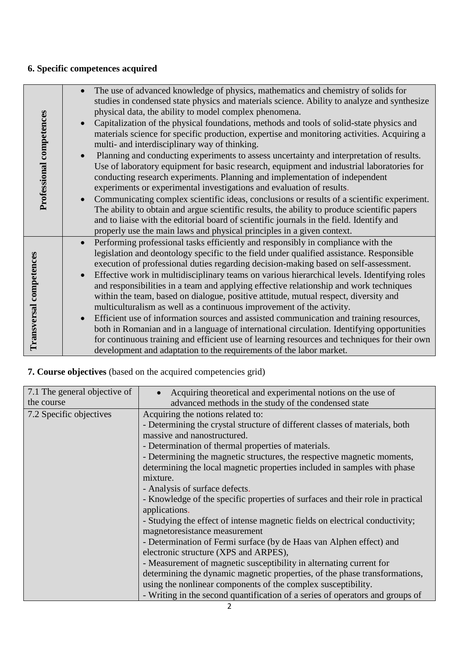# **6. Specific competences acquired**

| Professional competences | $\bullet$<br>$\bullet$ | The use of advanced knowledge of physics, mathematics and chemistry of solids for<br>studies in condensed state physics and materials science. Ability to analyze and synthesize<br>physical data, the ability to model complex phenomena.<br>Capitalization of the physical foundations, methods and tools of solid-state physics and<br>materials science for specific production, expertise and monitoring activities. Acquiring a<br>multi- and interdisciplinary way of thinking.<br>Planning and conducting experiments to assess uncertainty and interpretation of results.<br>Use of laboratory equipment for basic research, equipment and industrial laboratories for<br>conducting research experiments. Planning and implementation of independent<br>experiments or experimental investigations and evaluation of results.<br>Communicating complex scientific ideas, conclusions or results of a scientific experiment.<br>The ability to obtain and argue scientific results, the ability to produce scientific papers<br>and to liaise with the editorial board of scientific journals in the field. Identify and<br>properly use the main laws and physical principles in a given context. |
|--------------------------|------------------------|-------------------------------------------------------------------------------------------------------------------------------------------------------------------------------------------------------------------------------------------------------------------------------------------------------------------------------------------------------------------------------------------------------------------------------------------------------------------------------------------------------------------------------------------------------------------------------------------------------------------------------------------------------------------------------------------------------------------------------------------------------------------------------------------------------------------------------------------------------------------------------------------------------------------------------------------------------------------------------------------------------------------------------------------------------------------------------------------------------------------------------------------------------------------------------------------------------------|
| Transversal competences  | $\bullet$<br>$\bullet$ | Performing professional tasks efficiently and responsibly in compliance with the<br>legislation and deontology specific to the field under qualified assistance. Responsible<br>execution of professional duties regarding decision-making based on self-assessment.<br>Effective work in multidisciplinary teams on various hierarchical levels. Identifying roles<br>and responsibilities in a team and applying effective relationship and work techniques<br>within the team, based on dialogue, positive attitude, mutual respect, diversity and<br>multiculturalism as well as a continuous improvement of the activity.<br>Efficient use of information sources and assisted communication and training resources,<br>both in Romanian and in a language of international circulation. Identifying opportunities<br>for continuous training and efficient use of learning resources and techniques for their own<br>development and adaptation to the requirements of the labor market.                                                                                                                                                                                                              |

# **7. Course objectives** (based on the acquired competencies grid)

| 7.1 The general objective of | Acquiring theoretical and experimental notions on the use of                   |
|------------------------------|--------------------------------------------------------------------------------|
| the course                   | advanced methods in the study of the condensed state                           |
| 7.2 Specific objectives      | Acquiring the notions related to:                                              |
|                              | - Determining the crystal structure of different classes of materials, both    |
|                              | massive and nanostructured.                                                    |
|                              | - Determination of thermal properties of materials.                            |
|                              | - Determining the magnetic structures, the respective magnetic moments,        |
|                              | determining the local magnetic properties included in samples with phase       |
|                              | mixture.                                                                       |
|                              | - Analysis of surface defects.                                                 |
|                              | - Knowledge of the specific properties of surfaces and their role in practical |
|                              | applications.                                                                  |
|                              | - Studying the effect of intense magnetic fields on electrical conductivity;   |
|                              | magnetoresistance measurement                                                  |
|                              | - Determination of Fermi surface (by de Haas van Alphen effect) and            |
|                              | electronic structure (XPS and ARPES),                                          |
|                              | - Measurement of magnetic susceptibility in alternating current for            |
|                              | determining the dynamic magnetic properties, of the phase transformations,     |
|                              | using the nonlinear components of the complex susceptibility.                  |
|                              | - Writing in the second quantification of a series of operators and groups of  |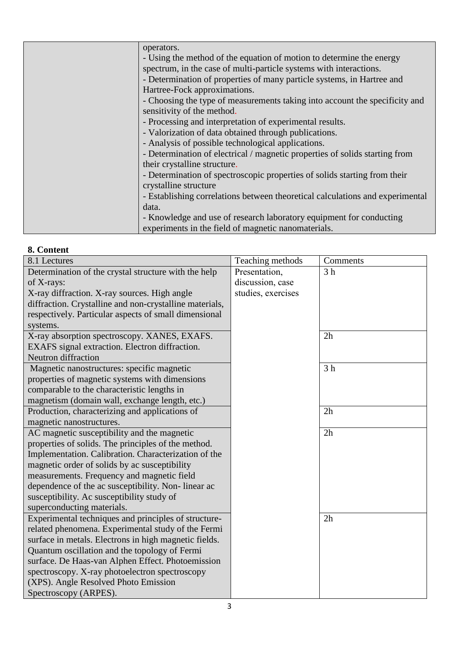| operators.                                                                    |
|-------------------------------------------------------------------------------|
| - Using the method of the equation of motion to determine the energy          |
| spectrum, in the case of multi-particle systems with interactions.            |
| - Determination of properties of many particle systems, in Hartree and        |
| Hartree-Fock approximations.                                                  |
| - Choosing the type of measurements taking into account the specificity and   |
| sensitivity of the method.                                                    |
| - Processing and interpretation of experimental results.                      |
| - Valorization of data obtained through publications.                         |
| - Analysis of possible technological applications.                            |
| - Determination of electrical / magnetic properties of solids starting from   |
| their crystalline structure.                                                  |
| - Determination of spectroscopic properties of solids starting from their     |
| crystalline structure                                                         |
| - Establishing correlations between theoretical calculations and experimental |
| data.                                                                         |
| - Knowledge and use of research laboratory equipment for conducting           |
| experiments in the field of magnetic nanomaterials.                           |
|                                                                               |

## **8. Content**

| 8.1 Lectures                                            | Teaching methods   | Comments       |
|---------------------------------------------------------|--------------------|----------------|
| Determination of the crystal structure with the help    | Presentation,      | 3 <sub>h</sub> |
| of $X$ -rays:                                           | discussion, case   |                |
| X-ray diffraction. X-ray sources. High angle            | studies, exercises |                |
| diffraction. Crystalline and non-crystalline materials, |                    |                |
| respectively. Particular aspects of small dimensional   |                    |                |
| systems.                                                |                    |                |
| X-ray absorption spectroscopy. XANES, EXAFS.            |                    | 2h             |
| EXAFS signal extraction. Electron diffraction.          |                    |                |
| <b>Neutron</b> diffraction                              |                    |                |
| Magnetic nanostructures: specific magnetic              |                    | 3 <sub>h</sub> |
| properties of magnetic systems with dimensions          |                    |                |
| comparable to the characteristic lengths in             |                    |                |
| magnetism (domain wall, exchange length, etc.)          |                    |                |
| Production, characterizing and applications of          |                    | 2h             |
| magnetic nanostructures.                                |                    |                |
| AC magnetic susceptibility and the magnetic             |                    | 2h             |
| properties of solids. The principles of the method.     |                    |                |
| Implementation. Calibration. Characterization of the    |                    |                |
| magnetic order of solids by ac susceptibility           |                    |                |
| measurements. Frequency and magnetic field              |                    |                |
| dependence of the ac susceptibility. Non-linear ac      |                    |                |
| susceptibility. Ac susceptibility study of              |                    |                |
| superconducting materials.                              |                    |                |
| Experimental techniques and principles of structure-    |                    | 2h             |
| related phenomena. Experimental study of the Fermi      |                    |                |
| surface in metals. Electrons in high magnetic fields.   |                    |                |
| Quantum oscillation and the topology of Fermi           |                    |                |
| surface. De Haas-van Alphen Effect. Photoemission       |                    |                |
| spectroscopy. X-ray photoelectron spectroscopy          |                    |                |
| (XPS). Angle Resolved Photo Emission                    |                    |                |
| Spectroscopy (ARPES).                                   |                    |                |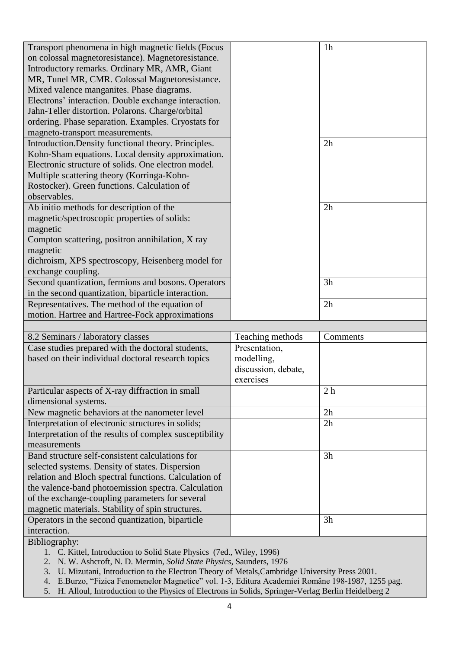| Transport phenomena in high magnetic fields (Focus               |                     | 1 <sub>h</sub> |
|------------------------------------------------------------------|---------------------|----------------|
| on colossal magnetoresistance). Magnetoresistance.               |                     |                |
| Introductory remarks. Ordinary MR, AMR, Giant                    |                     |                |
| MR, Tunel MR, CMR. Colossal Magnetoresistance.                   |                     |                |
| Mixed valence manganites. Phase diagrams.                        |                     |                |
| Electrons' interaction. Double exchange interaction.             |                     |                |
| Jahn-Teller distortion. Polarons. Charge/orbital                 |                     |                |
| ordering. Phase separation. Examples. Cryostats for              |                     |                |
| magneto-transport measurements.                                  |                     |                |
| Introduction. Density functional theory. Principles.             |                     | 2h             |
| Kohn-Sham equations. Local density approximation.                |                     |                |
| Electronic structure of solids. One electron model.              |                     |                |
| Multiple scattering theory (Korringa-Kohn-                       |                     |                |
| Rostocker). Green functions. Calculation of                      |                     |                |
| observables.                                                     |                     |                |
| Ab initio methods for description of the                         |                     | 2h             |
| magnetic/spectroscopic properties of solids:                     |                     |                |
| magnetic                                                         |                     |                |
| Compton scattering, positron annihilation, X ray                 |                     |                |
| magnetic                                                         |                     |                |
| dichroism, XPS spectroscopy, Heisenberg model for                |                     |                |
| exchange coupling.                                               |                     |                |
| Second quantization, fermions and bosons. Operators              |                     | 3h             |
| in the second quantization, biparticle interaction.              |                     |                |
| Representatives. The method of the equation of                   |                     | 2h             |
| motion. Hartree and Hartree-Fock approximations                  |                     |                |
|                                                                  |                     |                |
| 8.2 Seminars / laboratory classes                                | Teaching methods    | Comments       |
| Case studies prepared with the doctoral students,                | Presentation,       |                |
| based on their individual doctoral research topics               | modelling,          |                |
|                                                                  | discussion, debate, |                |
|                                                                  | exercises           |                |
| Particular aspects of X-ray diffraction in small                 |                     | 2 <sub>h</sub> |
| dimensional systems.                                             |                     |                |
|                                                                  |                     | 2h             |
| New magnetic behaviors at the nanometer level                    |                     |                |
| Interpretation of electronic structures in solids;               |                     | 2h             |
| Interpretation of the results of complex susceptibility          |                     |                |
| measurements                                                     |                     |                |
| Band structure self-consistent calculations for                  |                     | 3h             |
| selected systems. Density of states. Dispersion                  |                     |                |
| relation and Bloch spectral functions. Calculation of            |                     |                |
| the valence-band photoemission spectra. Calculation              |                     |                |
| of the exchange-coupling parameters for several                  |                     |                |
| magnetic materials. Stability of spin structures.                |                     |                |
|                                                                  |                     |                |
| Operators in the second quantization, biparticle<br>interaction. |                     | 3h             |

Bibliography:

- 1. C. Kittel, Introduction to Solid State Physics (7ed., Wiley, 1996)
- 2. N. W. Ashcroft, N. D. Mermin, *Solid State Physics*, Saunders, 1976
- 3. U. Mizutani, Introduction to the Electron Theory of Metals,Cambridge University Press 2001.
- 4. E.Burzo, "Fizica Fenomenelor Magnetice" vol. 1-3, Editura Academiei Române 198-1987, 1255 pag.
- 5. H. Alloul, Introduction to the Physics of Electrons in Solids, Springer-Verlag Berlin Heidelberg 2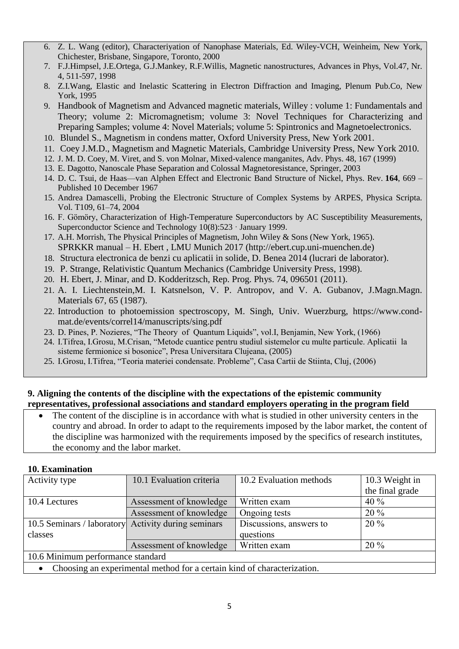- 6. Z. L. Wang (editor), Characteriyation of Nanophase Materials, Ed. Wiley-VCH, Weinheim, New York, Chichester, Brisbane, Singapore, Toronto, 2000
- 7. F.J.Himpsel, J.E.Ortega, G.J.Mankey, R.F.Willis, Magnetic nanostructures, Advances in Phys, Vol.47, Nr. 4, 511-597, 1998
- 8. Z.I.Wang, Elastic and Inelastic Scattering in Electron Diffraction and Imaging, Plenum Pub.Co, New York, 1995
- 9. Handbook of Magnetism and Advanced magnetic materials, Willey : volume 1: Fundamentals and Theory; volume 2: Micromagnetism; volume 3: Novel Techniques for Characterizing and Preparing Samples; volume 4: Novel Materials; volume 5: Spintronics and Magnetoelectronics.
- 10. Blundel S., Magnetism in condens matter, Oxford University Press, New York 2001.
- 11. Coey J.M.D., Magnetism and Magnetic Materials, Cambridge University Press, New York 2010.
- 12. J. M. D. Coey, M. Viret, and S. von Molnar, Mixed-valence manganites, Adv. Phys. 48, 167 (1999)
- 13. E. Dagotto, Nanoscale Phase Separation and Colossal Magnetoresistance, Springer, 2003
- 14. D. C. Tsui, de Haas—van Alphen Effect and Electronic Band Structure of Nickel, Phys. Rev. **164**, 669 Published 10 December 1967
- 15. Andrea Damascelli, Probing the Electronic Structure of Complex Systems by ARPES, Physica Scripta. Vol. T109, 61–74, 2004
- 16. F. Gömöry, Characterization of High-Temperature Superconductors by AC Susceptibility Measurements, Superconductor Science and Technology 10(8):523 · January 1999.
- 17. A.H. Morrish, The Physical Principles of Magnetism, John Wiley & Sons (New York, 1965). SPRKKR manual – H. Ebert , LMU Munich 2017 (http://ebert.cup.uni-muenchen.de)
- 18. Structura electronica de benzi cu aplicatii in solide, D. Benea 2014 (lucrari de laborator).
- 19. P. Strange, Relativistic Quantum Mechanics (Cambridge University Press, 1998).
- 20. H. Ebert, J. Minar, and D. Kodderitzsch, Rep. Prog. Phys. 74, 096501 (2011).
- 21. A. I. Liechtenstein,M. I. Katsnelson, V. P. Antropov, and V. A. Gubanov, J.Magn.Magn. Materials 67, 65 (1987).
- 22. Introduction to photoemission spectroscopy, M. Singh, Univ. Wuerzburg, https://www.condmat.de/events/correl14/manuscripts/sing.pdf
- 23. D. Pines, P. Nozieres, "The Theory of Quantum Liquids", vol.I, Benjamin, New York, (1966)
- 24. I.Tifrea, I.Grosu, M.Crisan, "Metode cuantice pentru studiul sistemelor cu multe particule. Aplicatii la sisteme fermionice si bosonice", Presa Universitara Clujeana, (2005)
- 25. I.Grosu, I.Tifrea, "Teoria materiei condensate. Probleme", Casa Cartii de Stiinta, Cluj, (2006)

#### **9. Aligning the contents of the discipline with the expectations of the epistemic community representatives, professional associations and standard employers operating in the program field**

 The content of the discipline is in accordance with what is studied in other university centers in the country and abroad. In order to adapt to the requirements imposed by the labor market, the content of the discipline was harmonized with the requirements imposed by the specifics of research institutes, the economy and the labor market.

#### **10. Examination**

| Activity type                                                           | 10.1 Evaluation criteria | 10.2 Evaluation methods | 10.3 Weight in  |  |  |
|-------------------------------------------------------------------------|--------------------------|-------------------------|-----------------|--|--|
|                                                                         |                          |                         | the final grade |  |  |
| 10.4 Lectures                                                           | Assessment of knowledge  | Written exam            | $40\%$          |  |  |
|                                                                         | Assessment of knowledge  | Ongoing tests           | $20\%$          |  |  |
| 10.5 Seminars / laboratory Activity during seminars                     |                          | Discussions, answers to | $20\%$          |  |  |
| classes                                                                 |                          | questions               |                 |  |  |
|                                                                         | Assessment of knowledge  | Written exam            | $20\%$          |  |  |
| 10.6 Minimum performance standard                                       |                          |                         |                 |  |  |
| Choosing an experimental method for a certain kind of characterization. |                          |                         |                 |  |  |